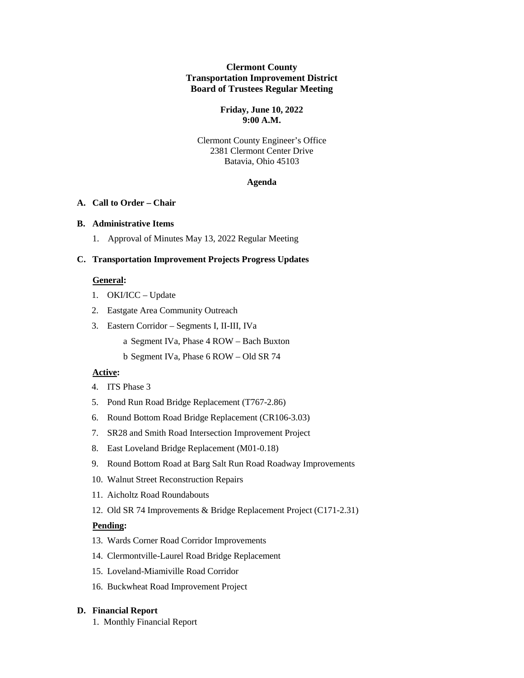### **Clermont County Transportation Improvement District Board of Trustees Regular Meeting**

#### **Friday, June 10, 2022 9:00 A.M.**

### Clermont County Engineer's Office 2381 Clermont Center Drive Batavia, Ohio 45103

#### **Agenda**

# **A. Call to Order – Chair**

### **B. Administrative Items**

1. Approval of Minutes May 13, 2022 Regular Meeting

# **C. Transportation Improvement Projects Progress Updates**

# **General:**

- 1. OKI/ICC Update
- 2. Eastgate Area Community Outreach
- 3. Eastern Corridor Segments I, II-III, IVa
	- a Segment IVa, Phase 4 ROW Bach Buxton
	- b Segment IVa, Phase 6 ROW Old SR 74

### **Active:**

- 4. ITS Phase 3
- 5. Pond Run Road Bridge Replacement (T767-2.86)
- 6. Round Bottom Road Bridge Replacement (CR106-3.03)
- 7. SR28 and Smith Road Intersection Improvement Project
- 8. East Loveland Bridge Replacement (M01-0.18)
- 9. Round Bottom Road at Barg Salt Run Road Roadway Improvements
- 10. Walnut Street Reconstruction Repairs
- 11. Aicholtz Road Roundabouts
- 12. Old SR 74 Improvements & Bridge Replacement Project (C171-2.31)

### **Pending:**

- 13. Wards Corner Road Corridor Improvements
- 14. Clermontville-Laurel Road Bridge Replacement
- 15. Loveland-Miamiville Road Corridor
- 16. Buckwheat Road Improvement Project

# **D. Financial Report**

1. Monthly Financial Report